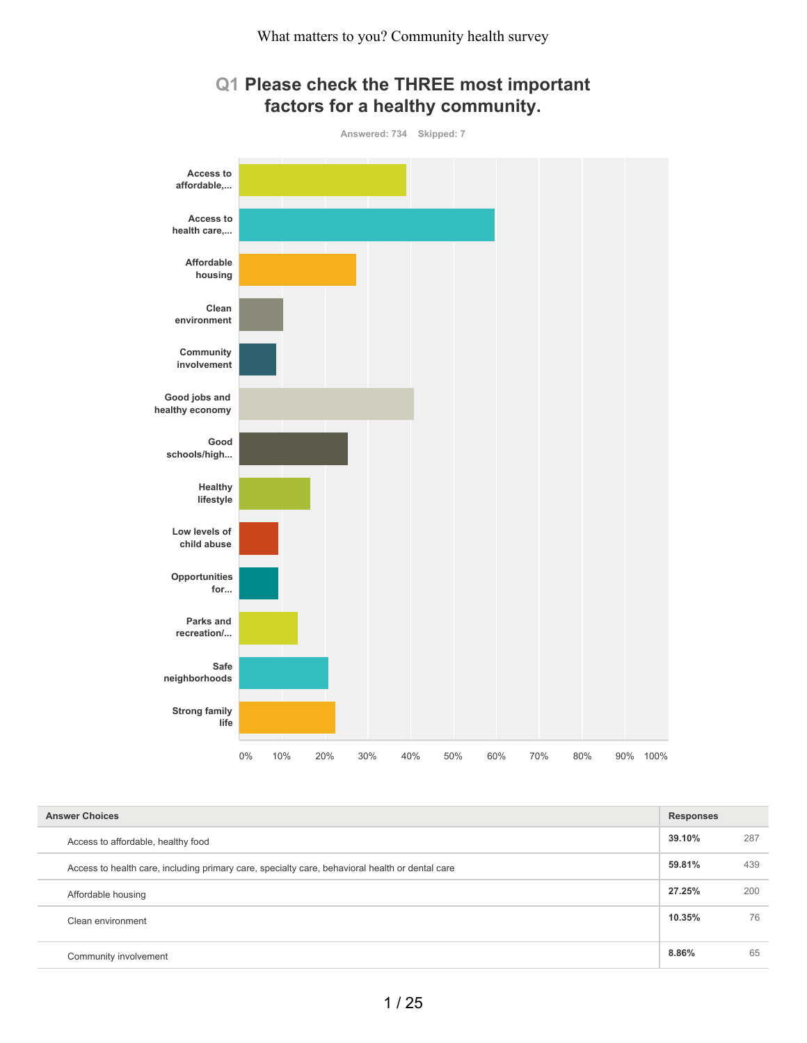



| <b>Answer Choices</b>                                                                           | <b>Responses</b> |     |
|-------------------------------------------------------------------------------------------------|------------------|-----|
| Access to affordable, healthy food                                                              | 39.10%           | 287 |
| Access to health care, including primary care, specialty care, behavioral health or dental care | 59.81%           | 439 |
| Affordable housing                                                                              | 27.25%           | 200 |
| Clean environment                                                                               | 10.35%           | 76  |
| Community involvement                                                                           | 8.86%            | 65  |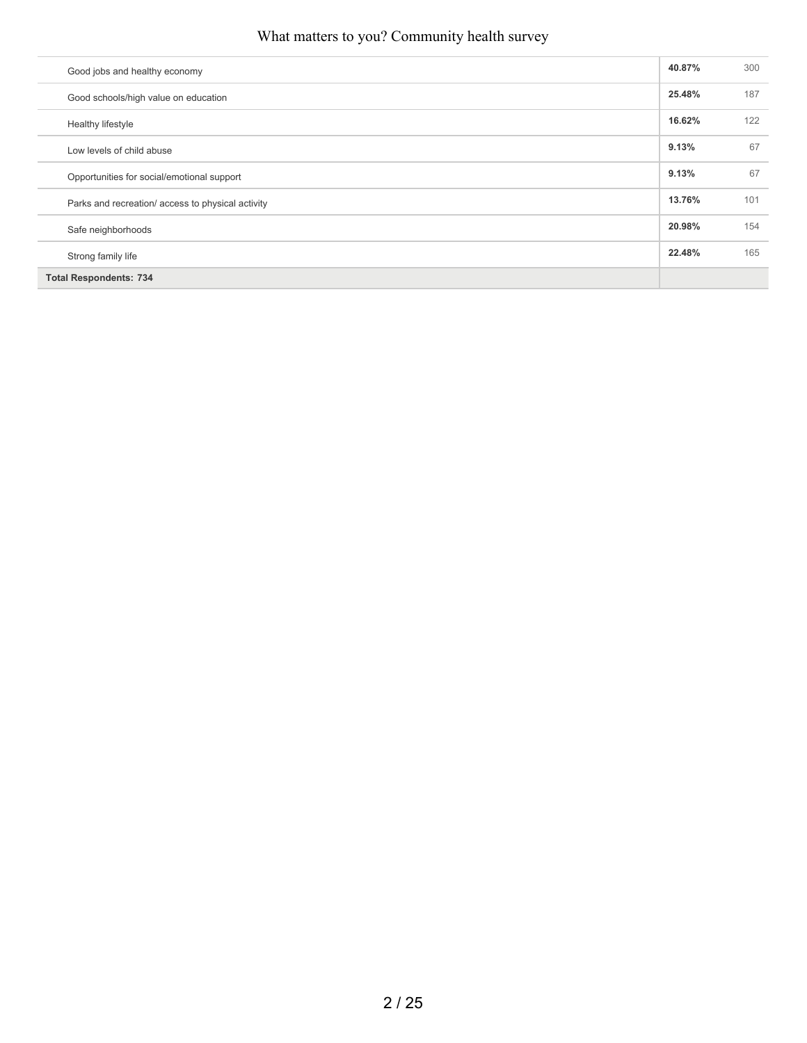| Good jobs and healthy economy                     | 40.87% | 300 |
|---------------------------------------------------|--------|-----|
| Good schools/high value on education              | 25.48% | 187 |
| Healthy lifestyle                                 | 16.62% | 122 |
| Low levels of child abuse                         | 9.13%  | 67  |
| Opportunities for social/emotional support        | 9.13%  | 67  |
| Parks and recreation/ access to physical activity | 13.76% | 101 |
| Safe neighborhoods                                | 20.98% | 154 |
| Strong family life                                | 22.48% | 165 |
| <b>Total Respondents: 734</b>                     |        |     |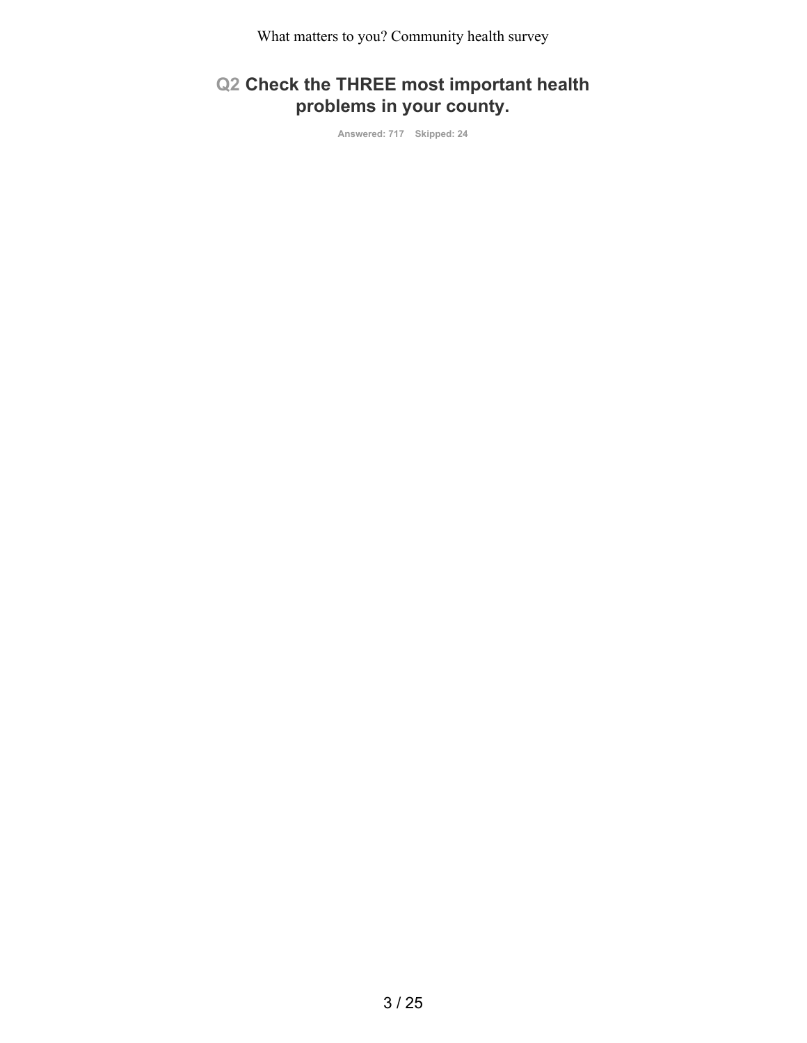# **Q2 Check the THREE most important health problems in your county.**

**Answered: 717 Skipped: 24**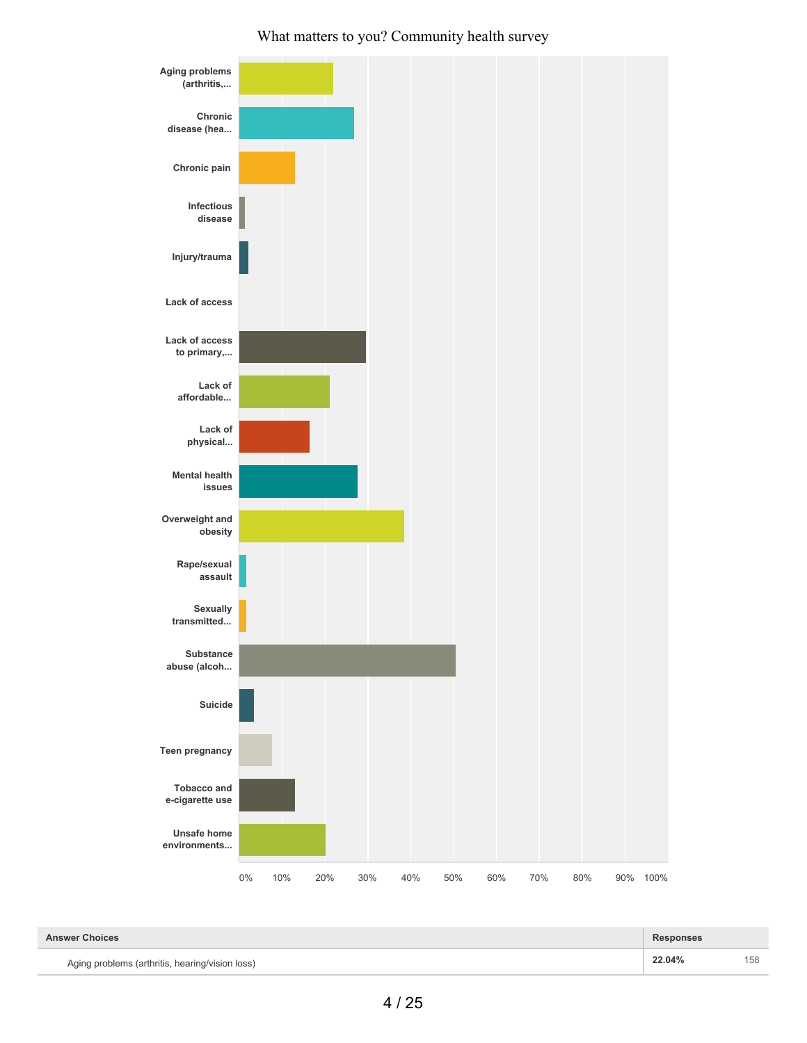

| <b>Answer Choices</b>                           | <b>Responses</b> |     |
|-------------------------------------------------|------------------|-----|
| Aging problems (arthritis, hearing/vision loss) | 22.04%           | 158 |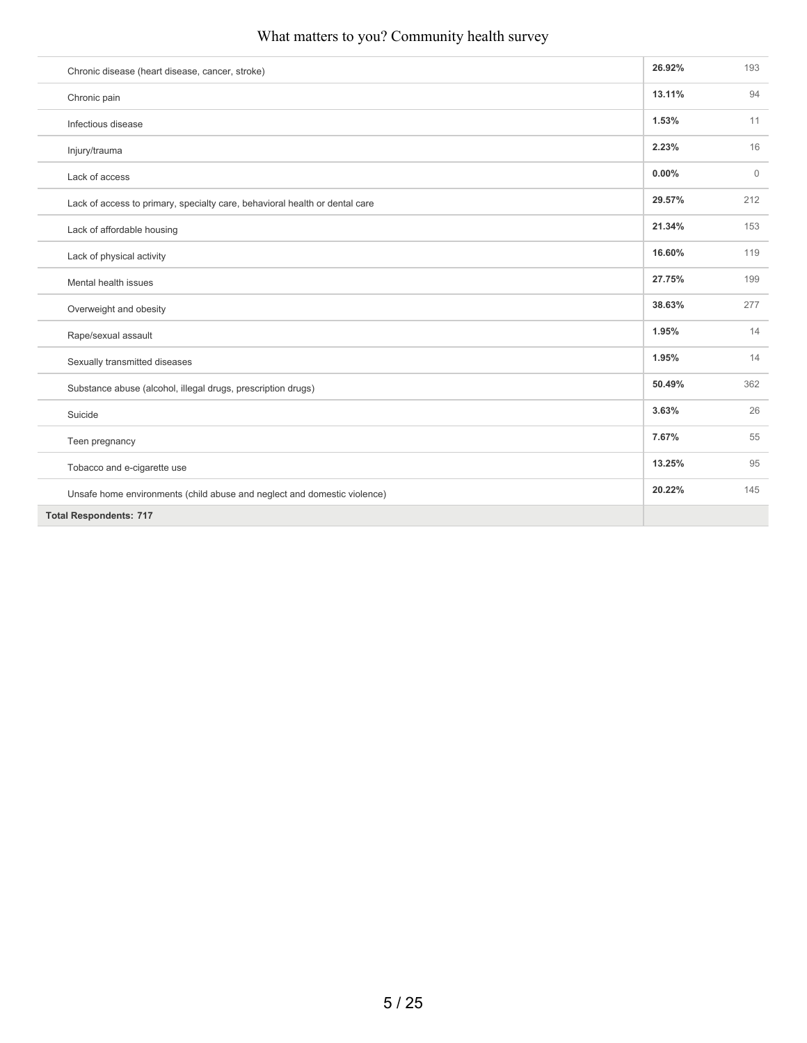| Chronic disease (heart disease, cancer, stroke)                             | 26.92% | 193          |
|-----------------------------------------------------------------------------|--------|--------------|
| Chronic pain                                                                | 13.11% | 94           |
| Infectious disease                                                          | 1.53%  | 11           |
| Injury/trauma                                                               | 2.23%  | 16           |
| Lack of access                                                              | 0.00%  | $\mathbf{0}$ |
| Lack of access to primary, specialty care, behavioral health or dental care | 29.57% | 212          |
| Lack of affordable housing                                                  | 21.34% | 153          |
| Lack of physical activity                                                   | 16.60% | 119          |
| Mental health issues                                                        | 27.75% | 199          |
| Overweight and obesity                                                      | 38.63% | 277          |
| Rape/sexual assault                                                         | 1.95%  | 14           |
| Sexually transmitted diseases                                               | 1.95%  | 14           |
| Substance abuse (alcohol, illegal drugs, prescription drugs)                | 50.49% | 362          |
| Suicide                                                                     | 3.63%  | 26           |
| Teen pregnancy                                                              | 7.67%  | 55           |
| Tobacco and e-cigarette use                                                 | 13.25% | 95           |
| Unsafe home environments (child abuse and neglect and domestic violence)    | 20.22% | 145          |
| <b>Total Respondents: 717</b>                                               |        |              |
|                                                                             |        |              |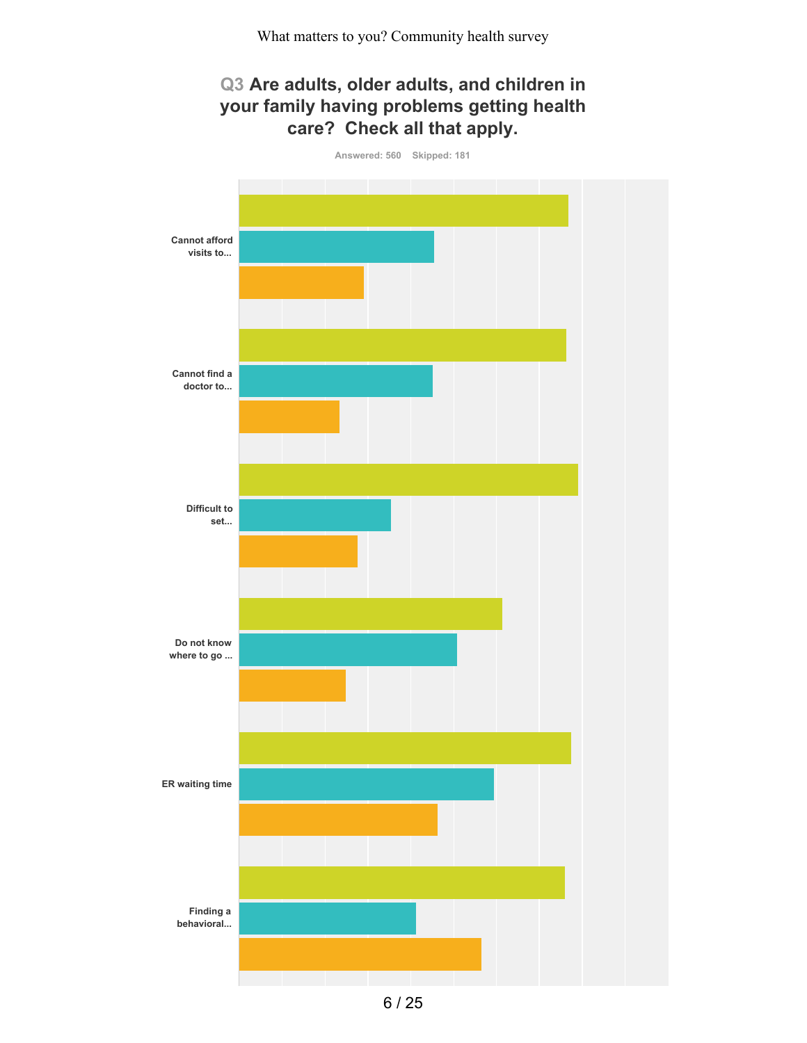# **Q3 Are adults, older adults, and children in your family having problems getting health care? Check all that apply.**

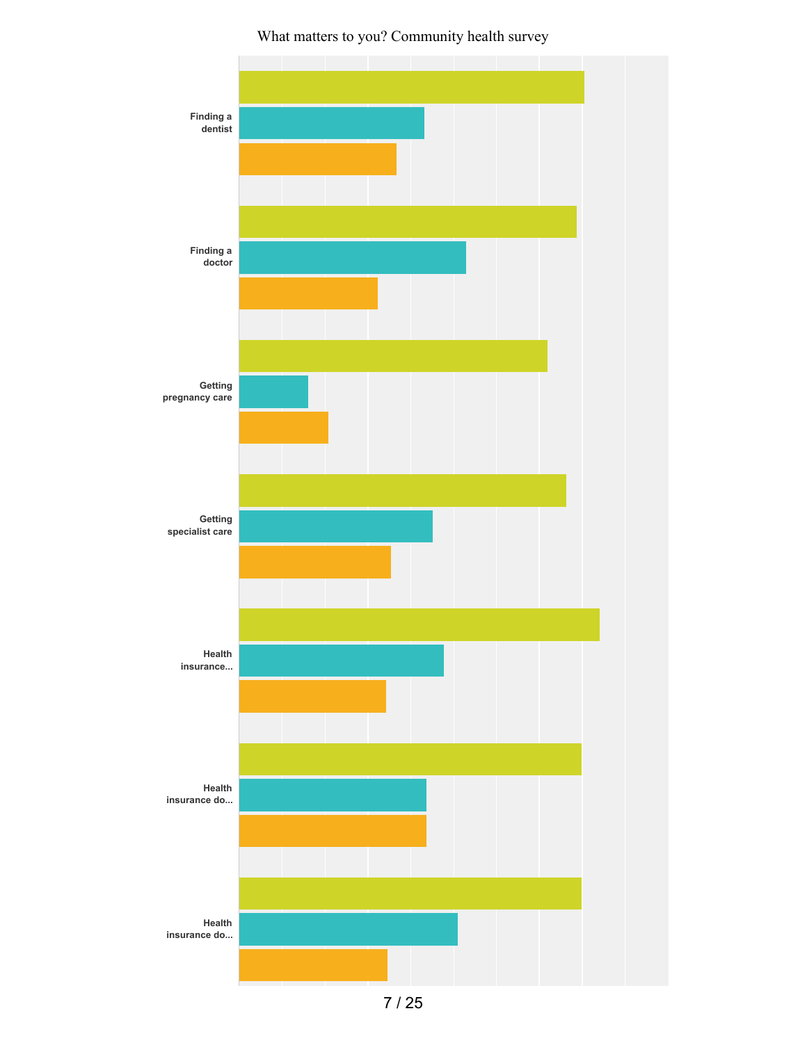

7 / 25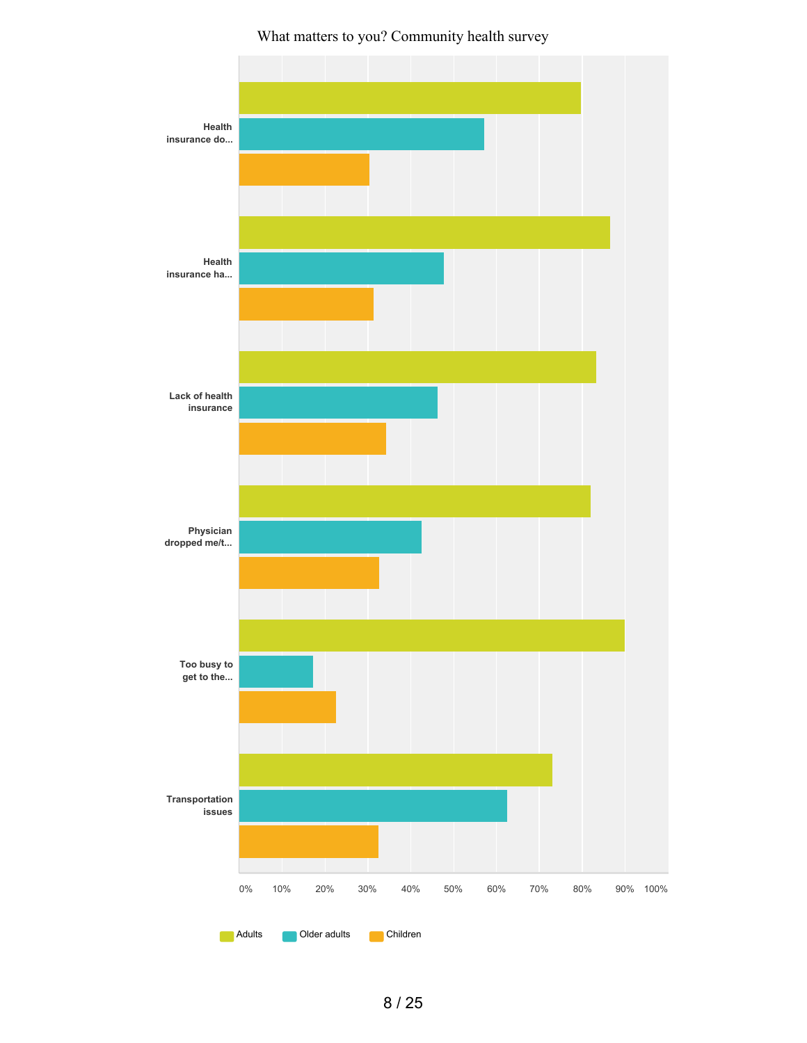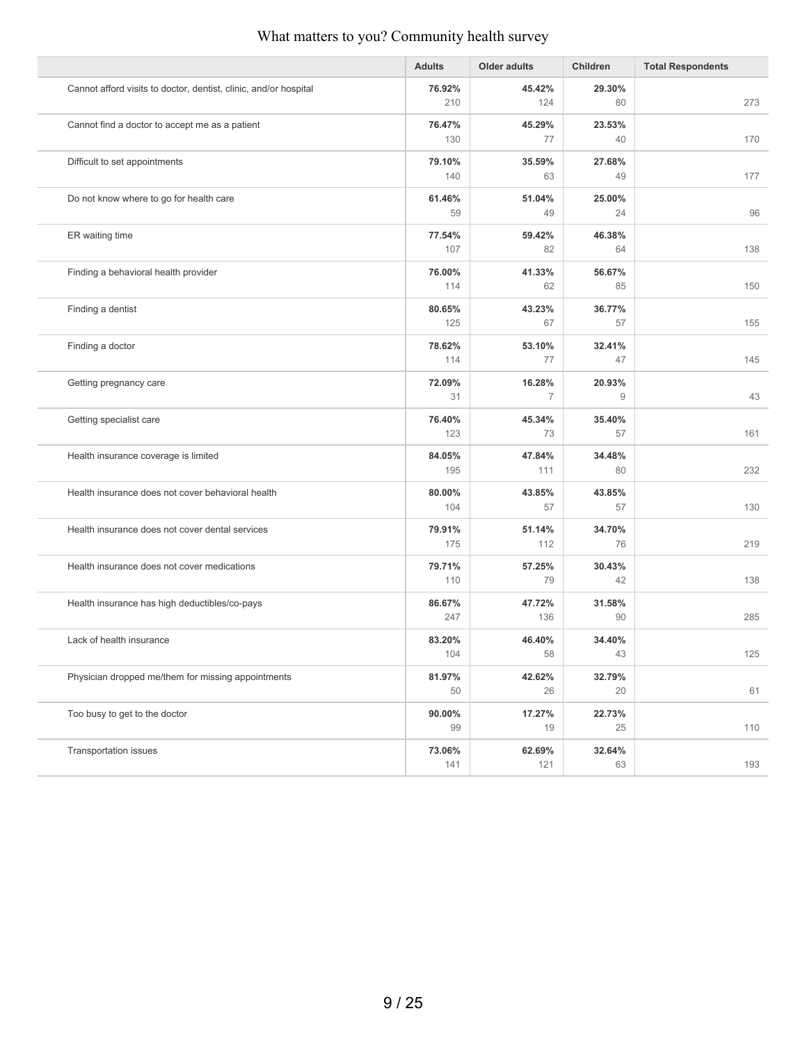|                                                                  | <b>Adults</b> | <b>Older adults</b> | Children     | <b>Total Respondents</b> |
|------------------------------------------------------------------|---------------|---------------------|--------------|--------------------------|
| Cannot afford visits to doctor, dentist, clinic, and/or hospital | 76.92%<br>210 | 45.42%<br>124       | 29.30%<br>80 | 273                      |
|                                                                  |               |                     |              |                          |
| Cannot find a doctor to accept me as a patient                   | 76.47%<br>130 | 45.29%<br>77        | 23.53%<br>40 | 170                      |
| Difficult to set appointments                                    | 79.10%        | 35.59%              | 27.68%       |                          |
|                                                                  | 140           | 63                  | 49           | 177                      |
| Do not know where to go for health care                          | 61.46%        | 51.04%              | 25.00%       |                          |
|                                                                  | 59            | 49                  | 24           | 96                       |
| ER waiting time                                                  | 77.54%        | 59.42%              | 46.38%       |                          |
|                                                                  | 107           | 82                  | 64           | 138                      |
| Finding a behavioral health provider                             | 76.00%        | 41.33%              | 56.67%       |                          |
|                                                                  | 114           | 62                  | 85           | 150                      |
| Finding a dentist                                                | 80.65%        | 43.23%              | 36.77%       |                          |
|                                                                  | 125           | 67                  | 57           | 155                      |
| Finding a doctor                                                 | 78.62%        | 53.10%              | 32.41%       |                          |
|                                                                  | 114           | 77                  | 47           | 145                      |
| Getting pregnancy care                                           | 72.09%        | 16.28%              | 20.93%       |                          |
|                                                                  | 31            | $\overline{7}$      | 9            | 43                       |
| Getting specialist care                                          | 76.40%        | 45.34%              | 35.40%       |                          |
|                                                                  | 123           | 73                  | 57           | 161                      |
| Health insurance coverage is limited                             | 84.05%        | 47.84%              | 34.48%       |                          |
|                                                                  | 195           | 111                 | 80           | 232                      |
| Health insurance does not cover behavioral health                | 80.00%        | 43.85%              | 43.85%       |                          |
|                                                                  | 104           | 57                  | 57           | 130                      |
| Health insurance does not cover dental services                  | 79.91%        | 51.14%              | 34.70%       |                          |
|                                                                  | 175           | 112                 | 76           | 219                      |
| Health insurance does not cover medications                      | 79.71%        | 57.25%              | 30.43%       |                          |
|                                                                  | 110           | 79                  | 42           | 138                      |
| Health insurance has high deductibles/co-pays                    | 86.67%        | 47.72%              | 31.58%       |                          |
|                                                                  | 247           | 136                 | 90           | 285                      |
| Lack of health insurance                                         | 83.20%        | 46.40%              | 34.40%       |                          |
|                                                                  | 104           | 58                  | 43           | 125                      |
| Physician dropped me/them for missing appointments               | 81.97%        | 42.62%              | 32.79%       |                          |
|                                                                  | 50            | 26                  | 20           | 61                       |
| Too busy to get to the doctor                                    | 90.00%        | 17.27%              | 22.73%       |                          |
|                                                                  | 99            | 19                  | 25           | 110                      |
| Transportation issues                                            | 73.06%        | 62.69%              | 32.64%       |                          |
|                                                                  | 141           | 121                 | 63           | 193                      |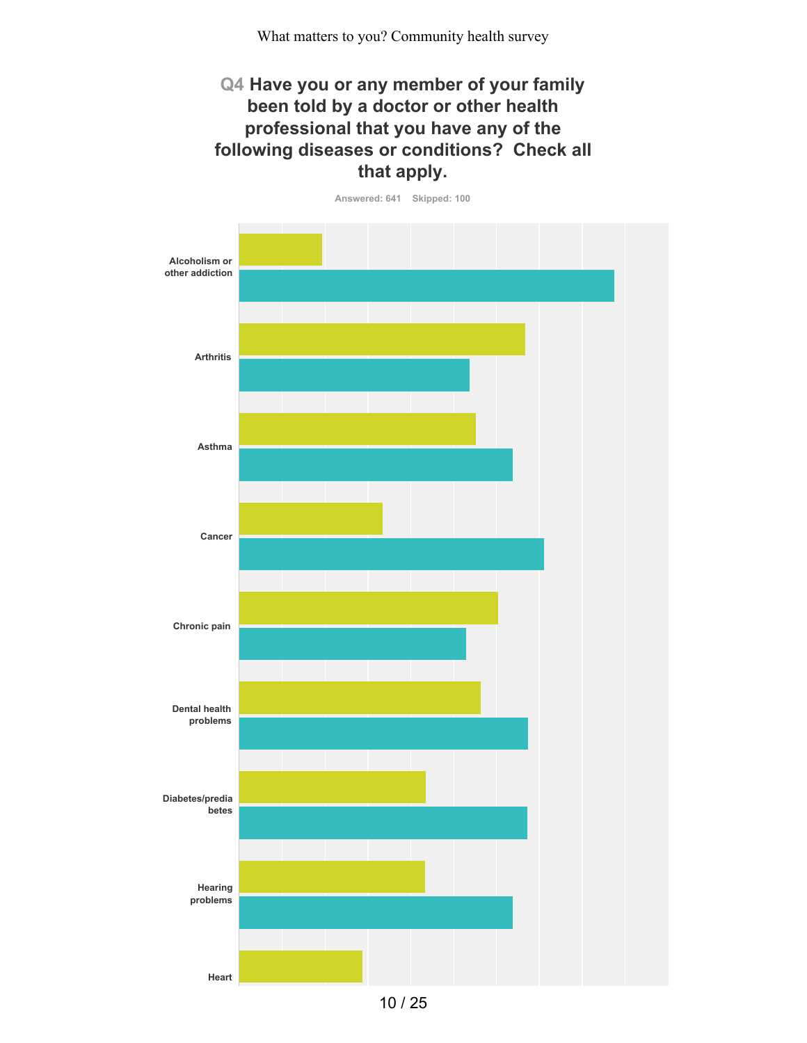## **Q4 Have you or any member of your family been told by a doctor or other health professional that you have any of the following diseases or conditions? Check all that apply.**

**Answered: 641 Skipped: 100**



10 / 25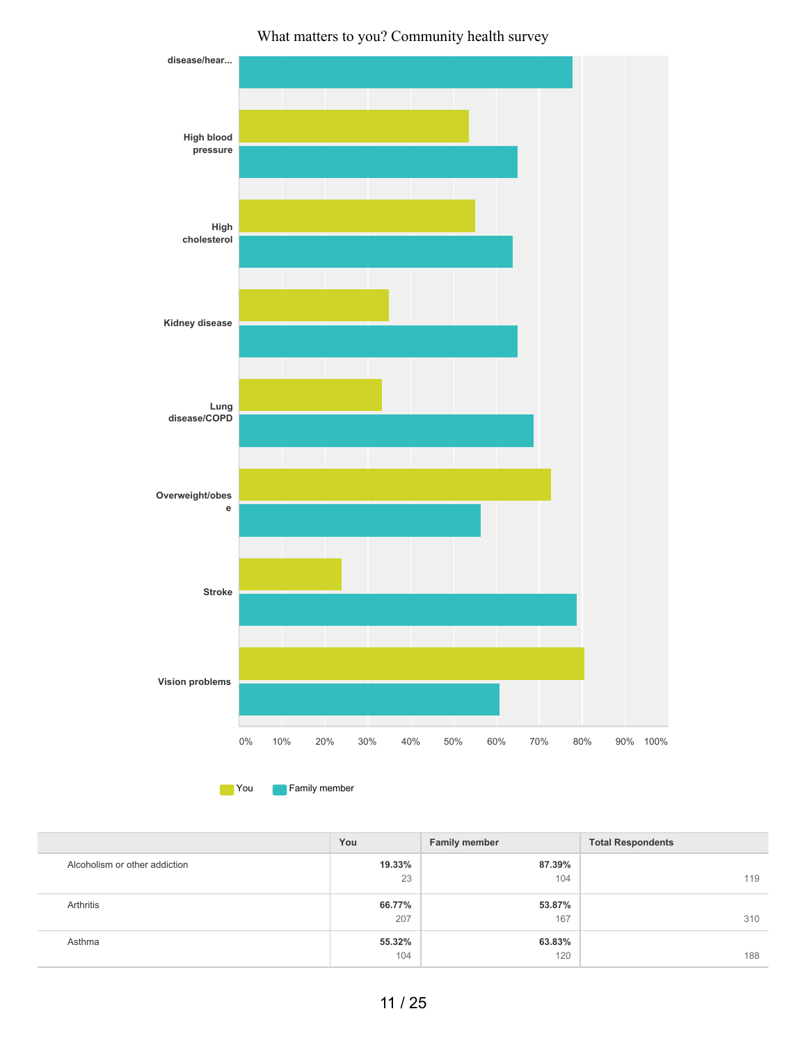

**The You Family member** 

|                               | You    | <b>Family member</b> | <b>Total Respondents</b> |
|-------------------------------|--------|----------------------|--------------------------|
| Alcoholism or other addiction | 19.33% | 87.39%               |                          |
|                               | 23     | 104                  | 119                      |
| Arthritis                     | 66.77% | 53.87%               |                          |
|                               | 207    | 167                  | 310                      |
| Asthma                        | 55.32% | 63.83%               |                          |
|                               | 104    | 120                  | 188                      |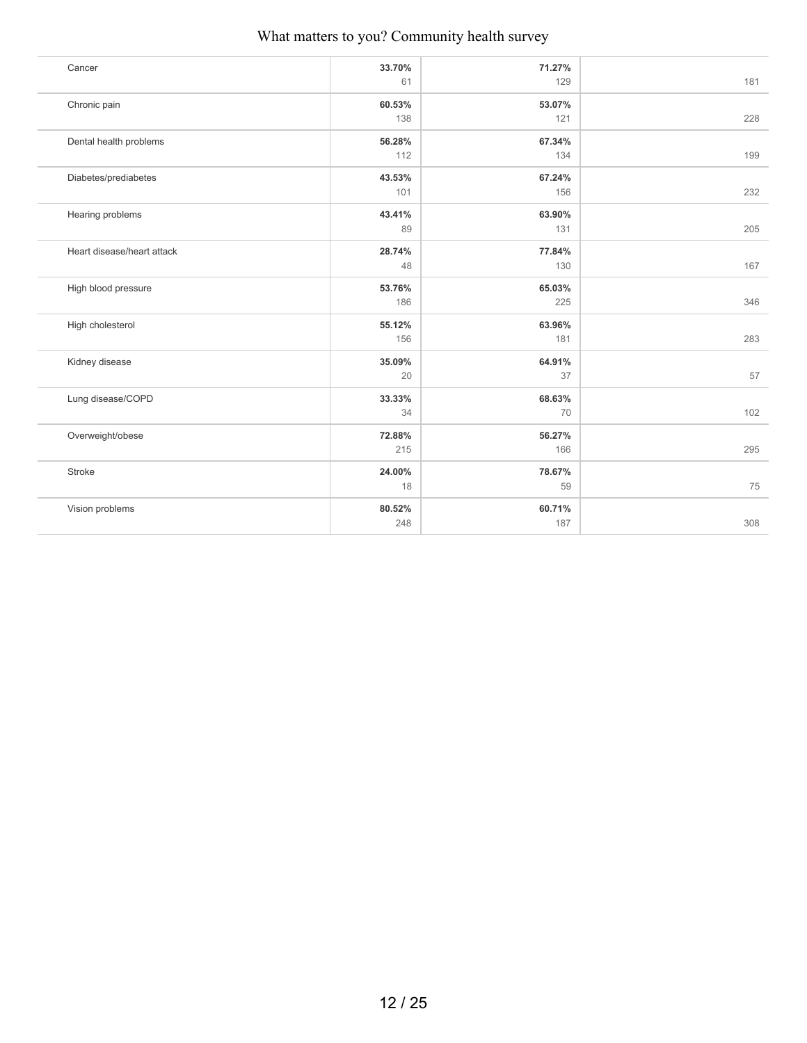| Cancer                     | 33.70% | 71.27% |     |
|----------------------------|--------|--------|-----|
|                            | 61     | 129    | 181 |
| Chronic pain               | 60.53% | 53.07% |     |
|                            | 138    | 121    | 228 |
| Dental health problems     | 56.28% | 67.34% |     |
|                            | 112    | 134    | 199 |
| Diabetes/prediabetes       | 43.53% | 67.24% |     |
|                            | 101    | 156    | 232 |
| Hearing problems           | 43.41% | 63.90% |     |
|                            | 89     | 131    | 205 |
| Heart disease/heart attack | 28.74% | 77.84% |     |
|                            | 48     | 130    | 167 |
| High blood pressure        | 53.76% | 65.03% |     |
|                            | 186    | 225    | 346 |
| High cholesterol           | 55.12% | 63.96% |     |
|                            | 156    | 181    | 283 |
| Kidney disease             | 35.09% | 64.91% |     |
|                            | 20     | 37     | 57  |
| Lung disease/COPD          | 33.33% | 68.63% |     |
|                            | 34     | 70     | 102 |
| Overweight/obese           | 72.88% | 56.27% |     |
|                            | 215    | 166    | 295 |
| Stroke                     | 24.00% | 78.67% |     |
|                            | 18     | 59     | 75  |
| Vision problems            | 80.52% | 60.71% |     |
|                            | 248    | 187    | 308 |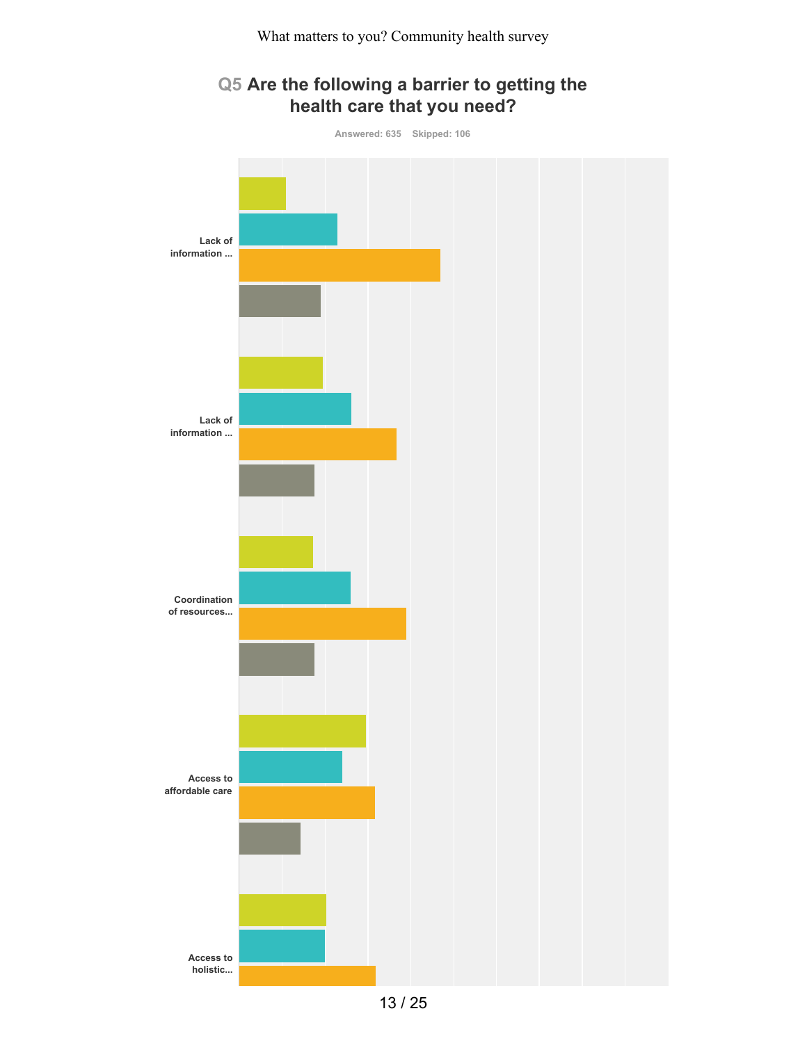# **Q5 Are the following a barrier to getting the health care that you need?**

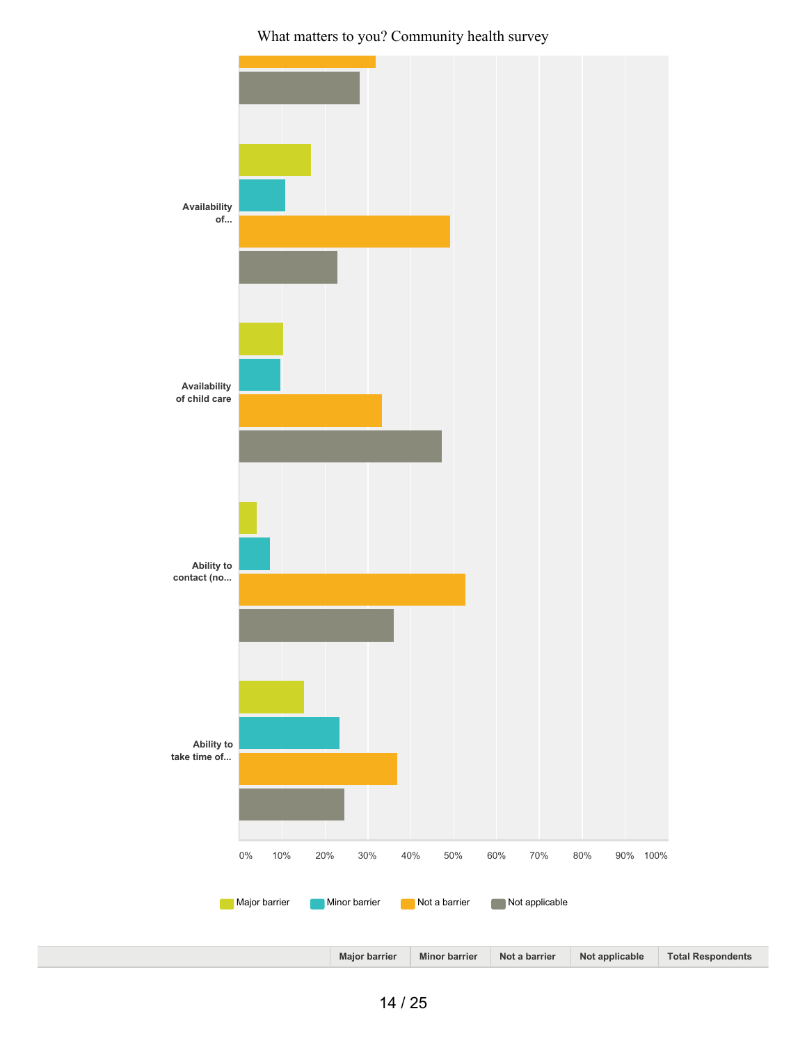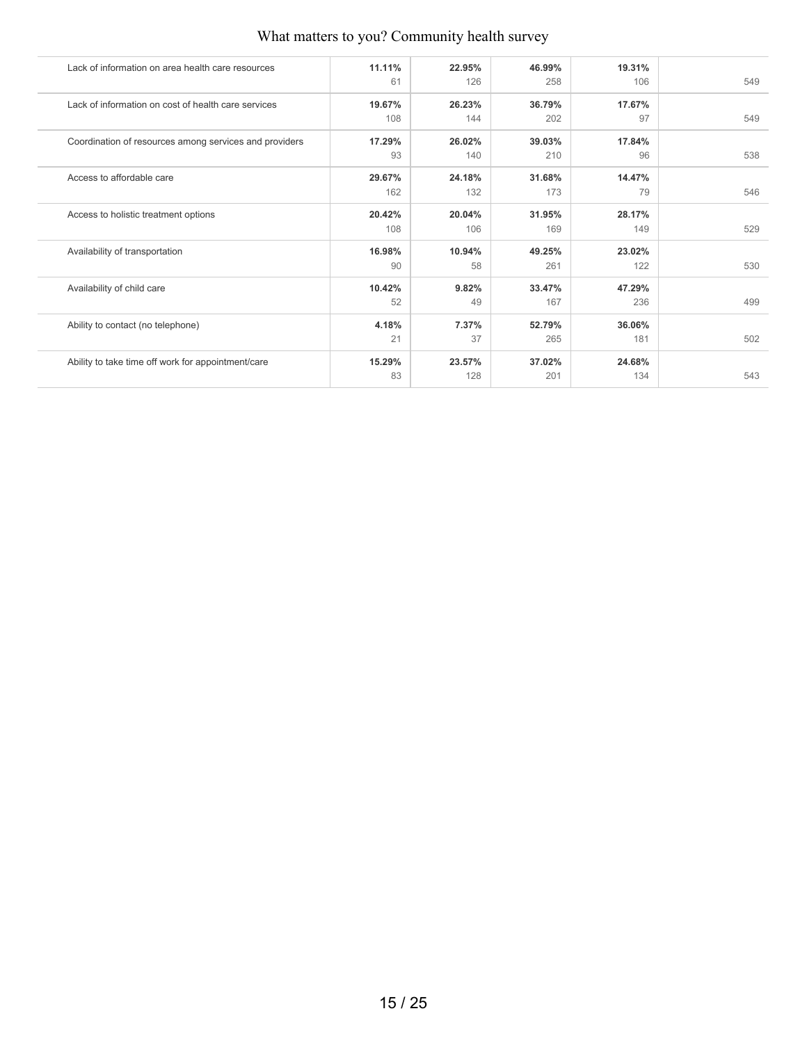| Lack of information on area health care resources      | 11.11% | 22.95% | 46.99% | 19.31% |     |
|--------------------------------------------------------|--------|--------|--------|--------|-----|
|                                                        | 61     | 126    | 258    | 106    | 549 |
| Lack of information on cost of health care services    | 19.67% | 26.23% | 36.79% | 17.67% |     |
|                                                        | 108    | 144    | 202    | 97     | 549 |
| Coordination of resources among services and providers | 17.29% | 26.02% | 39.03% | 17.84% |     |
|                                                        | 93     | 140    | 210    | 96     | 538 |
| Access to affordable care                              | 29.67% | 24.18% | 31.68% | 14.47% |     |
|                                                        | 162    | 132    | 173    | 79     | 546 |
| Access to holistic treatment options                   | 20.42% | 20.04% | 31.95% | 28.17% |     |
|                                                        | 108    | 106    | 169    | 149    | 529 |
| Availability of transportation                         | 16.98% | 10.94% | 49.25% | 23.02% |     |
|                                                        | 90     | 58     | 261    | 122    | 530 |
| Availability of child care                             | 10.42% | 9.82%  | 33.47% | 47.29% |     |
|                                                        | 52     | 49     | 167    | 236    | 499 |
| Ability to contact (no telephone)                      | 4.18%  | 7.37%  | 52.79% | 36.06% |     |
|                                                        | 21     | 37     | 265    | 181    | 502 |
| Ability to take time off work for appointment/care     | 15.29% | 23.57% | 37.02% | 24.68% |     |
|                                                        | 83     | 128    | 201    | 134    | 543 |
|                                                        |        |        |        |        |     |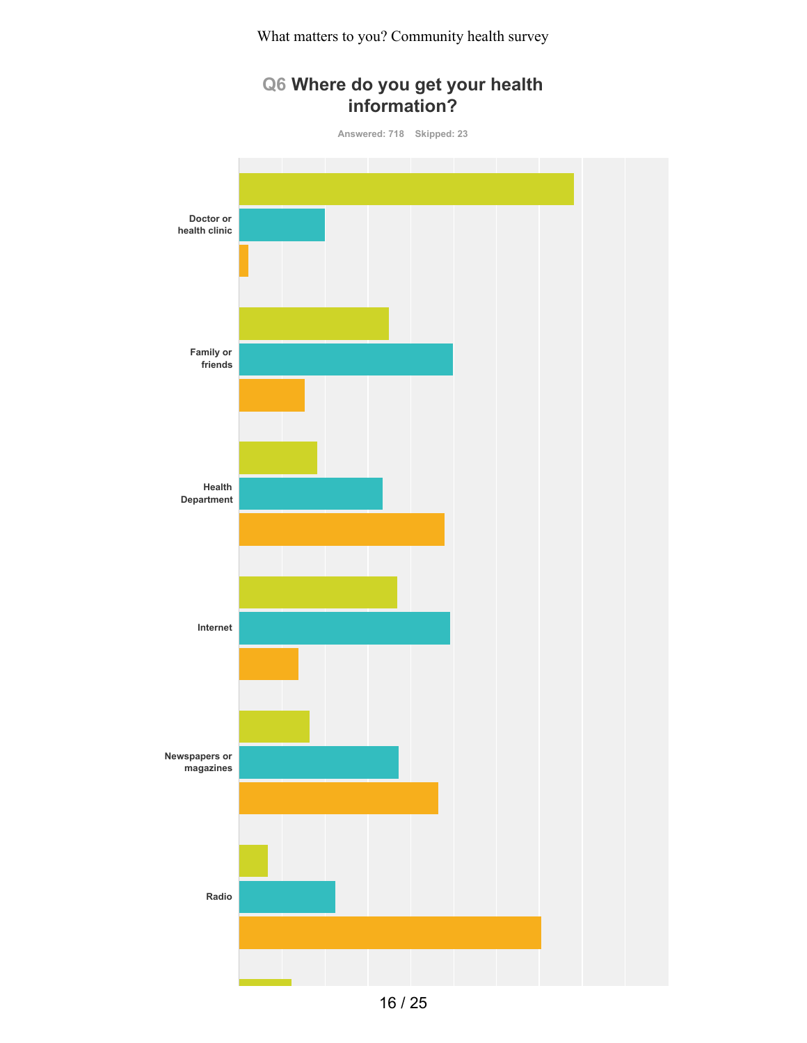# **Q6 Where do you get your health information? Answered: 718 Skipped: 23 Doctor or health clinic Family or friends Health Department Internet Newspapers or magazines Radio**

16 / 25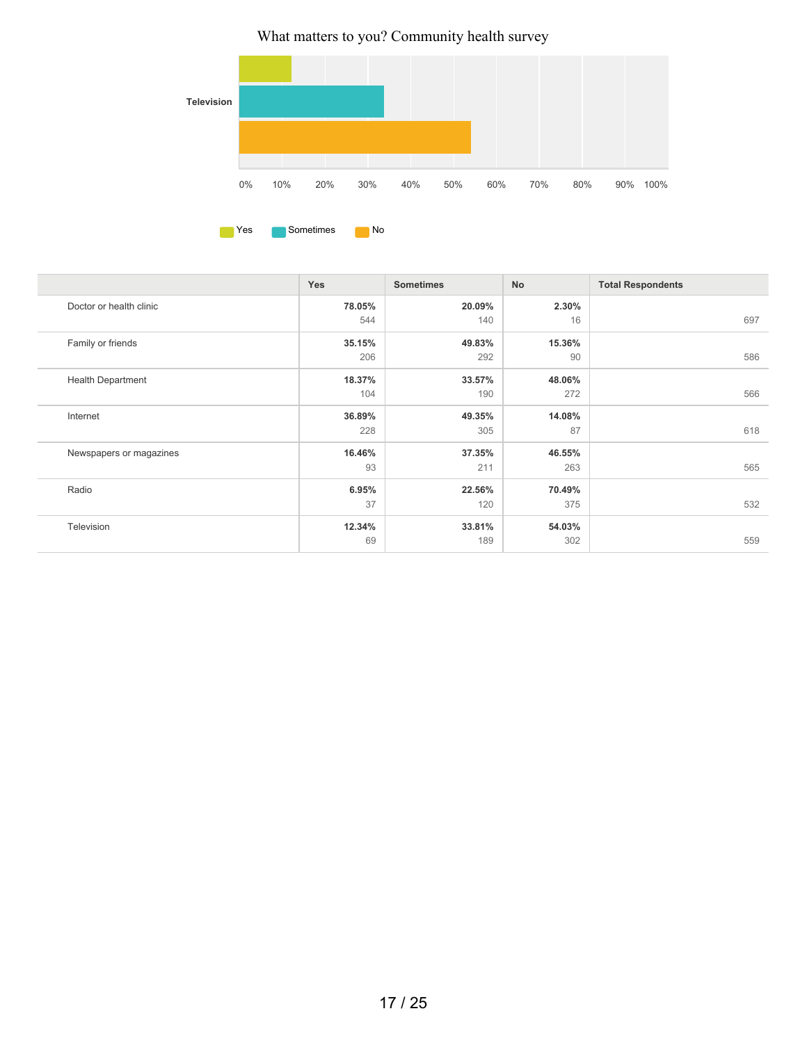

|                          | <b>Yes</b> | <b>Sometimes</b> | No     | <b>Total Respondents</b> |
|--------------------------|------------|------------------|--------|--------------------------|
| Doctor or health clinic  | 78.05%     | 20.09%           | 2.30%  |                          |
|                          | 544        | 140              | 16     | 697                      |
| Family or friends        | 35.15%     | 49.83%           | 15.36% |                          |
|                          | 206        | 292              | 90     | 586                      |
| <b>Health Department</b> | 18.37%     | 33.57%           | 48.06% |                          |
|                          | 104        | 190              | 272    | 566                      |
| Internet                 | 36.89%     | 49.35%           | 14.08% |                          |
|                          | 228        | 305              | 87     | 618                      |
| Newspapers or magazines  | 16.46%     | 37.35%           | 46.55% |                          |
|                          | 93         | 211              | 263    | 565                      |
| Radio                    | 6.95%      | 22.56%           | 70.49% |                          |
|                          | 37         | 120              | 375    | 532                      |
| Television               | 12.34%     | 33.81%           | 54.03% |                          |
|                          | 69         | 189              | 302    | 559                      |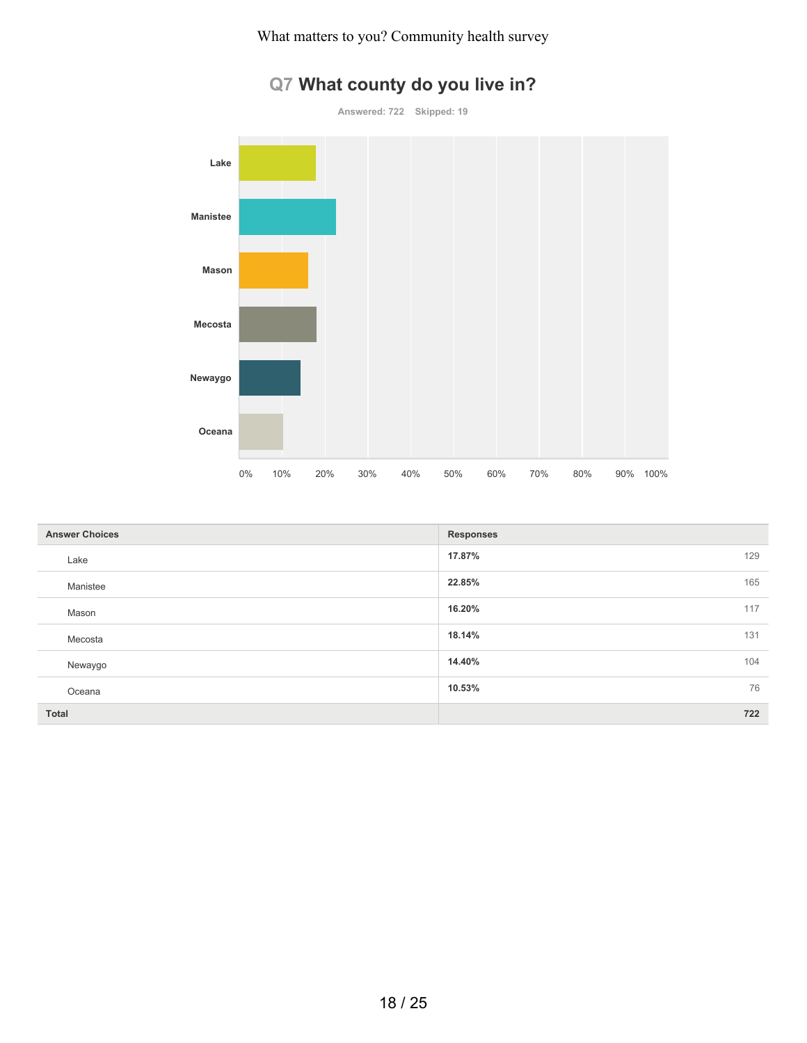

# **Q7 What county do you live in?**

| <b>Answer Choices</b> | <b>Responses</b> |     |
|-----------------------|------------------|-----|
| Lake                  | 17.87%           | 129 |
| Manistee              | 22.85%           | 165 |
| Mason                 | 16.20%           | 117 |
| Mecosta               | 18.14%           | 131 |
| Newaygo               | 14.40%           | 104 |
| Oceana                | 10.53%           | 76  |
| <b>Total</b>          |                  | 722 |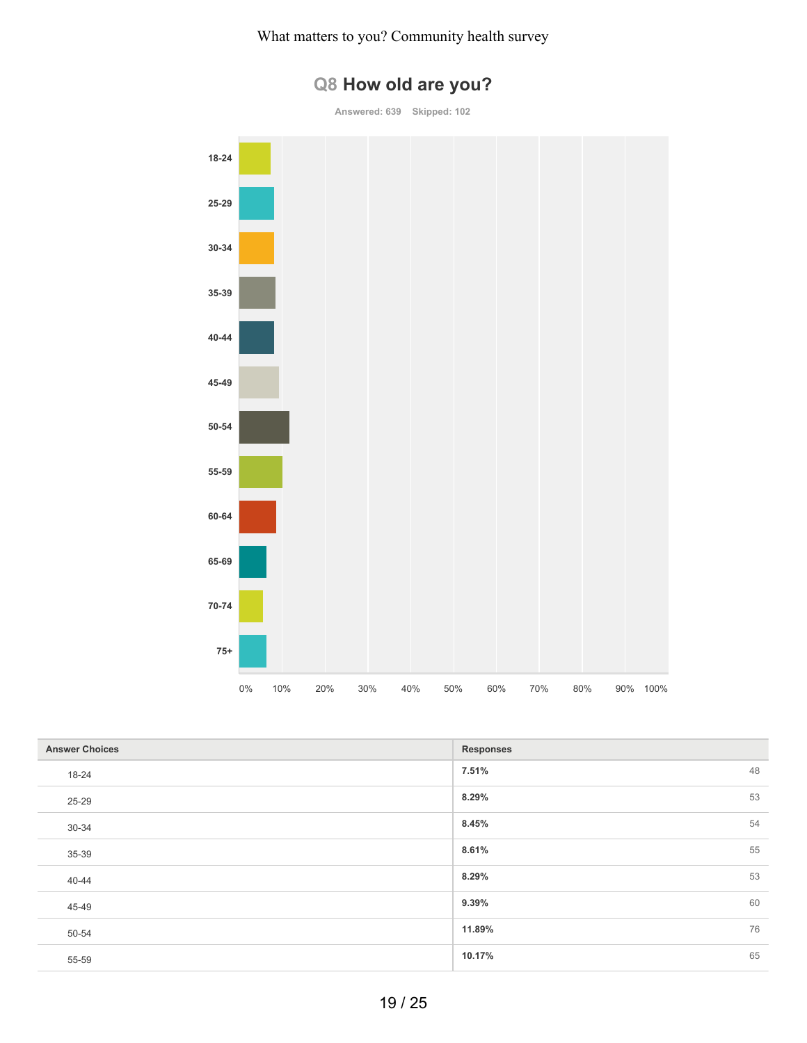

**Answered: 639 Skipped: 102**



| <b>Answer Choices</b> | <b>Responses</b> |    |
|-----------------------|------------------|----|
| 18-24                 | 7.51%            | 48 |
| 25-29                 | 8.29%            | 53 |
| 30-34                 | 8.45%            | 54 |
| 35-39                 | 8.61%            | 55 |
| 40-44                 | 8.29%            | 53 |
| 45-49                 | 9.39%            | 60 |
| 50-54                 | 11.89%           | 76 |
| 55-59                 | 10.17%           | 65 |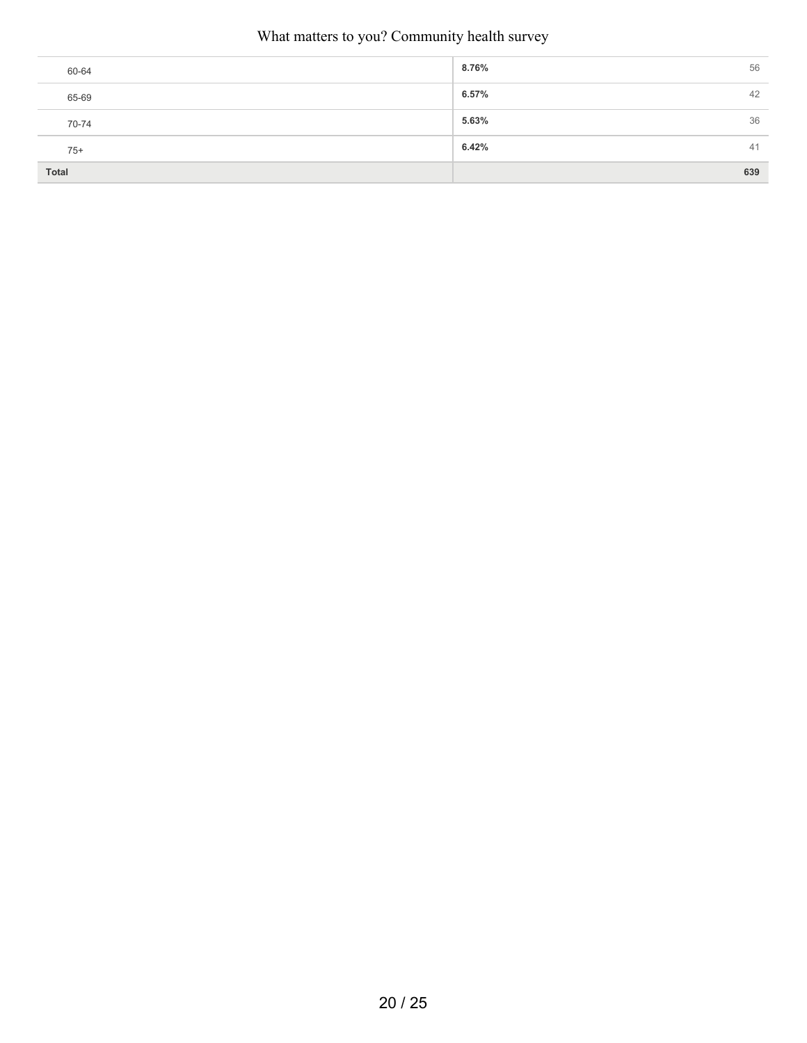| 60-64 | 8.76% | 56  |
|-------|-------|-----|
| 65-69 | 6.57% | 42  |
| 70-74 | 5.63% | 36  |
| $75+$ | 6.42% | 41  |
| Total |       | 639 |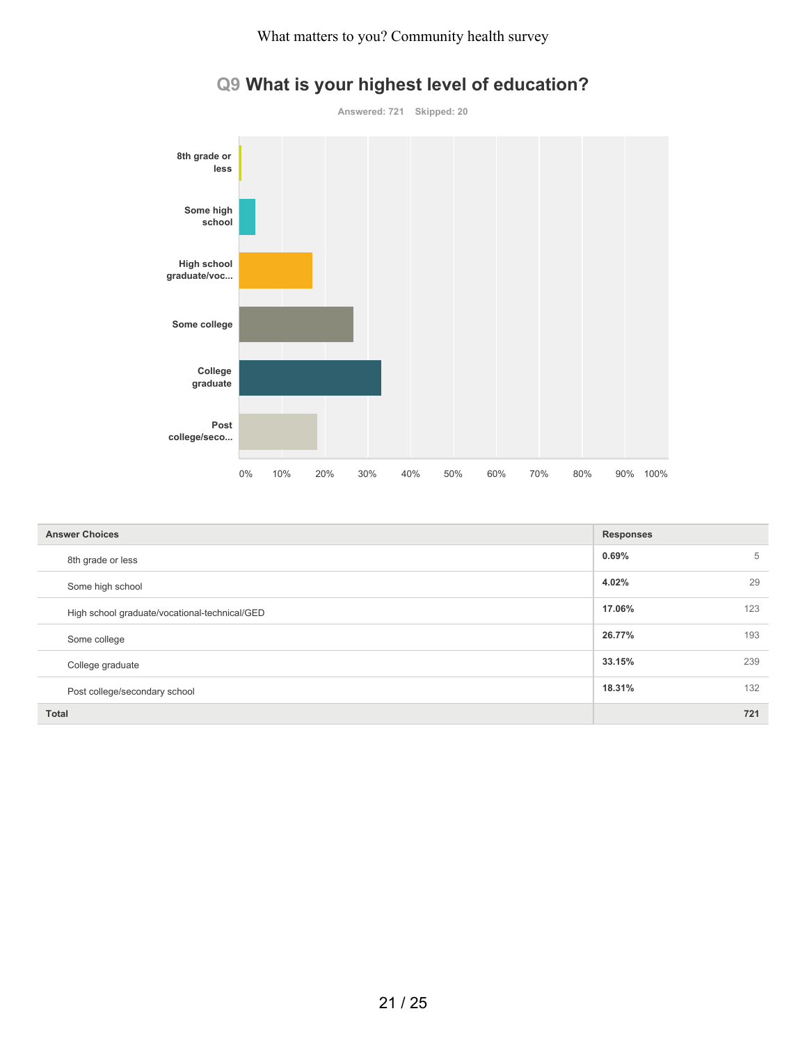

# **Q9 What is your highest level of education?**

| <b>Answer Choices</b>                         | <b>Responses</b> |
|-----------------------------------------------|------------------|
| 8th grade or less                             | 0.69%<br>5       |
| Some high school                              | 4.02%<br>29      |
| High school graduate/vocational-technical/GED | 17.06%<br>123    |
| Some college                                  | 26.77%<br>193    |
| College graduate                              | 33.15%<br>239    |
| Post college/secondary school                 | 18.31%<br>132    |
| <b>Total</b>                                  | 721              |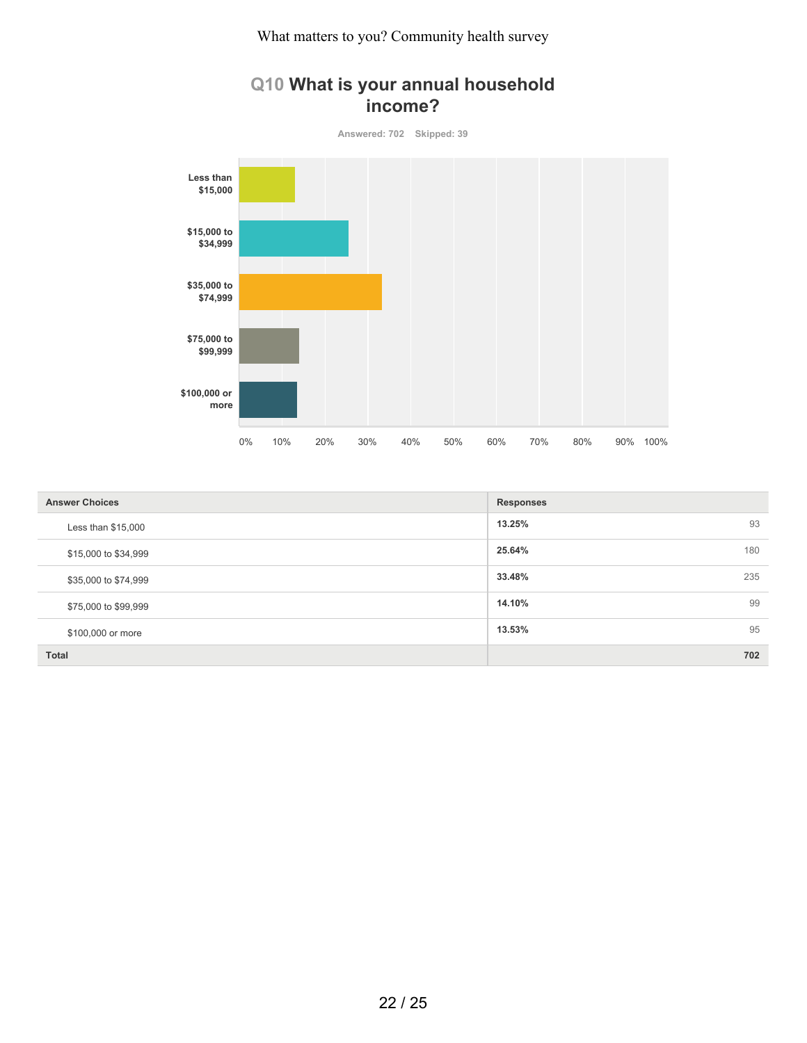# **Q10 What is your annual household income?**

**Answered: 702 Skipped: 39 Less than \$15,000 \$15,000 to \$34,999 \$35,000 to \$74,999 \$75,000 to \$99,999 \$100,000 or more** 0% 10% 20% 30% 40% 50% 60% 70% 80% 90% 100%

| <b>Answer Choices</b> | <b>Responses</b> |
|-----------------------|------------------|
| Less than $$15,000$   | 93<br>13.25%     |
| \$15,000 to \$34,999  | 180<br>25.64%    |
| \$35,000 to \$74,999  | 33.48%<br>235    |
| \$75,000 to \$99,999  | 99<br>14.10%     |
| \$100,000 or more     | 95<br>13.53%     |
| <b>Total</b>          | 702              |

#### 22 / 25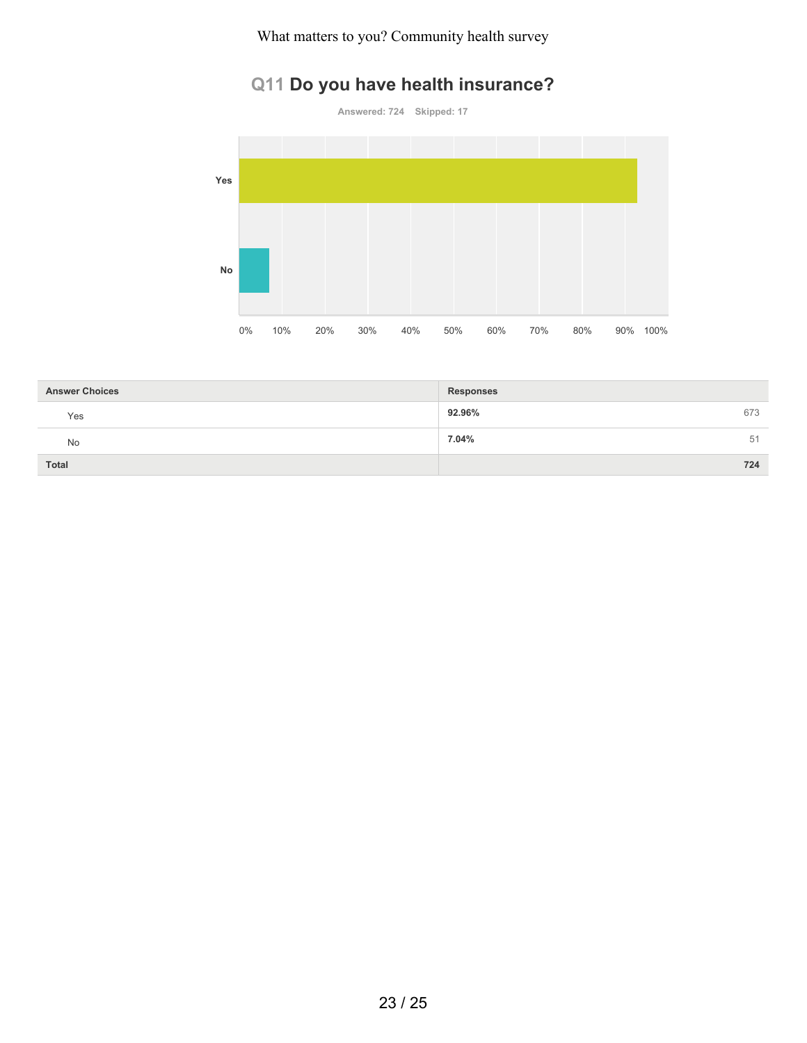# **Q11 Do you have health insurance?**

**Answered: 724 Skipped: 17**



| <b>Answer Choices</b> | <b>Responses</b> |    |
|-----------------------|------------------|----|
| Yes                   | 92.96%<br>673    |    |
| No                    | 7.04%            | 51 |
| <b>Total</b>          | 724              |    |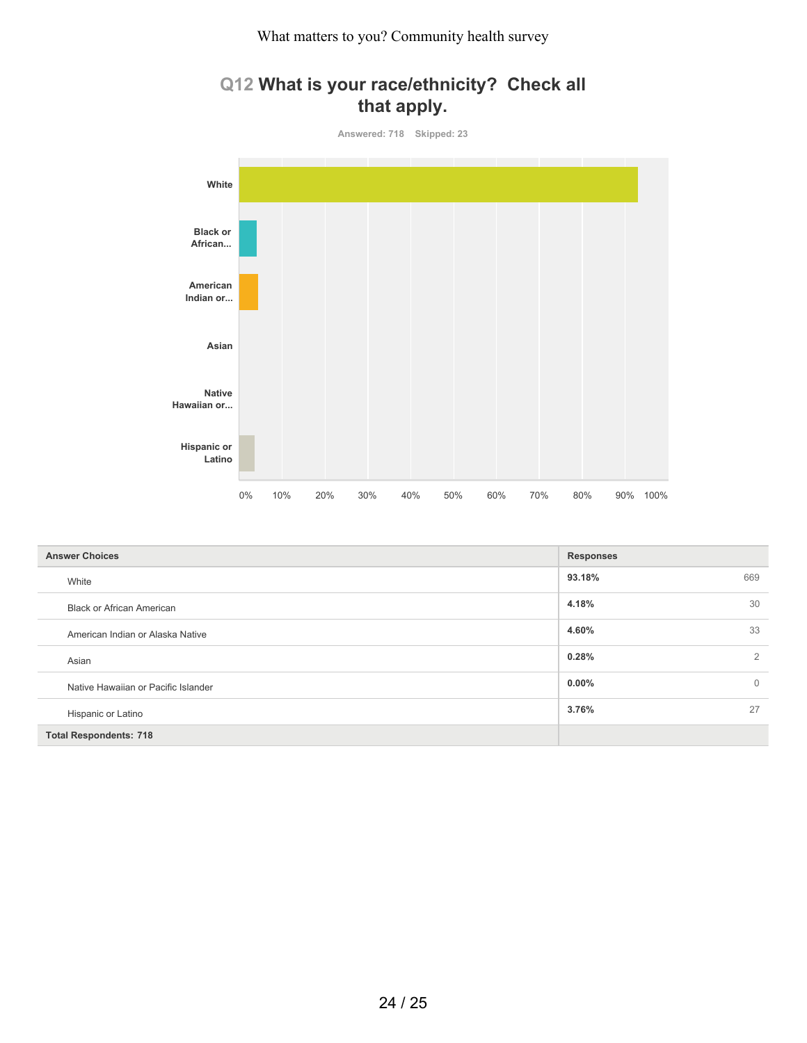# **Q12 What is your race/ethnicity? Check all that apply.**



| <b>Answer Choices</b>               | <b>Responses</b> |                |
|-------------------------------------|------------------|----------------|
| White                               | 93.18%           | 669            |
| <b>Black or African American</b>    | 4.18%            | 30             |
| American Indian or Alaska Native    | 4.60%            | 33             |
| Asian                               | 0.28%            | 2              |
| Native Hawaiian or Pacific Islander | $0.00\%$         | $\overline{0}$ |
| Hispanic or Latino                  | 3.76%            | 27             |
| <b>Total Respondents: 718</b>       |                  |                |

24 / 25